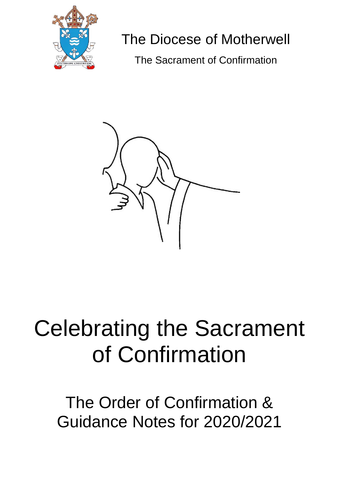

# The Diocese of Motherwell

The Sacrament of Confirmation



# Celebrating the Sacrament of Confirmation

The Order of Confirmation & Guidance Notes for 2020/2021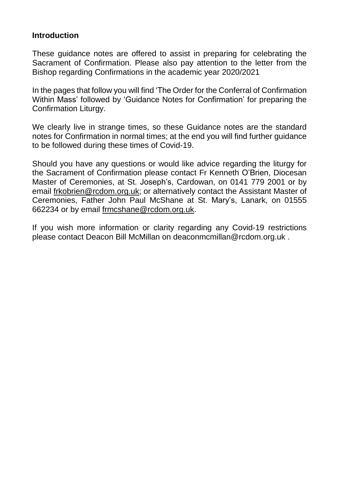#### **Introduction**

These guidance notes are offered to assist in preparing for celebrating the Sacrament of Confirmation. Please also pay attention to the letter from the Bishop regarding Confirmations in the academic year 2020/2021

In the pages that follow you will find 'The Order for the Conferral of Confirmation Within Mass' followed by 'Guidance Notes for Confirmation' for preparing the Confirmation Liturgy.

We clearly live in strange times, so these Guidance notes are the standard notes for Confirmation in normal times; at the end you will find further guidance to be followed during these times of Covid-19.

Should you have any questions or would like advice regarding the liturgy for the Sacrament of Confirmation please contact Fr Kenneth O'Brien, Diocesan Master of Ceremonies, at St. Joseph's, Cardowan, on 0141 779 2001 or by email [frkobrien@rcdom.org.uk;](mailto:frkobrien@rcdom.org.uk) or alternatively contact the Assistant Master of Ceremonies, Father John Paul McShane at St. Mary's, Lanark, on 01555 662234 or by email [frmcshane@rcdom.org.uk.](mailto:frmcshane@rcdom.org.uk)

If you wish more information or clarity regarding any Covid-19 restrictions please contact Deacon Bill McMillan on deaconmcmillan@rcdom.org.uk .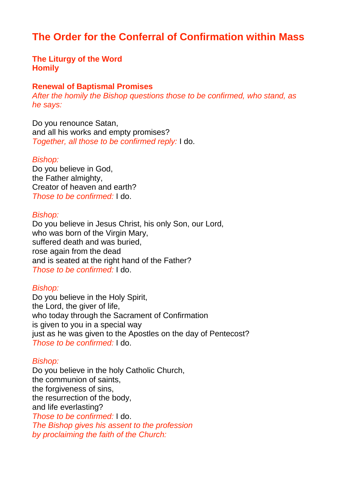## **The Order for the Conferral of Confirmation within Mass**

#### **The Liturgy of the Word Homily**

#### **Renewal of Baptismal Promises**

*After the homily the Bishop questions those to be confirmed, who stand, as he says:*

Do you renounce Satan, and all his works and empty promises? *Together, all those to be confirmed reply:* I do.

#### *Bishop:*

Do you believe in God, the Father almighty, Creator of heaven and earth? *Those to be confirmed:* I do.

#### *Bishop:*

Do you believe in Jesus Christ, his only Son, our Lord, who was born of the Virgin Mary, suffered death and was buried, rose again from the dead and is seated at the right hand of the Father? *Those to be confirmed:* I do.

#### *Bishop:*

Do you believe in the Holy Spirit, the Lord, the giver of life, who today through the Sacrament of Confirmation is given to you in a special way just as he was given to the Apostles on the day of Pentecost? *Those to be confirmed:* I do.

#### *Bishop:*

Do you believe in the holy Catholic Church, the communion of saints, the forgiveness of sins, the resurrection of the body, and life everlasting? *Those to be confirmed:* I do. *The Bishop gives his assent to the profession by proclaiming the faith of the Church:*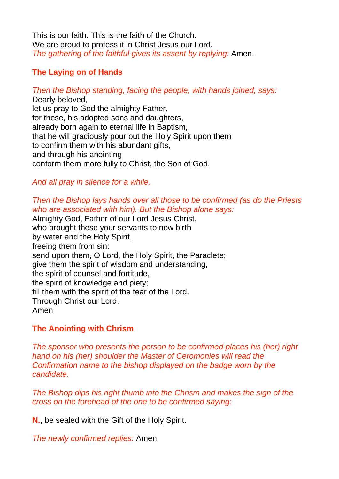This is our faith. This is the faith of the Church. We are proud to profess it in Christ Jesus our Lord. *The gathering of the faithful gives its assent by replying:* Amen.

#### **The Laying on of Hands**

*Then the Bishop standing, facing the people, with hands joined, says:* Dearly beloved, let us pray to God the almighty Father, for these, his adopted sons and daughters, already born again to eternal life in Baptism, that he will graciously pour out the Holy Spirit upon them to confirm them with his abundant gifts, and through his anointing conform them more fully to Christ, the Son of God.

#### *And all pray in silence for a while.*

#### *Then the Bishop lays hands over all those to be confirmed (as do the Priests who are associated with him). But the Bishop alone says:*

Almighty God, Father of our Lord Jesus Christ, who brought these your servants to new birth by water and the Holy Spirit, freeing them from sin: send upon them, O Lord, the Holy Spirit, the Paraclete; give them the spirit of wisdom and understanding, the spirit of counsel and fortitude, the spirit of knowledge and piety; fill them with the spirit of the fear of the Lord. Through Christ our Lord. Amen

#### **The Anointing with Chrism**

*The sponsor who presents the person to be confirmed places his (her) right hand on his (her) shoulder the Master of Ceromonies will read the Confirmation name to the bishop displayed on the badge worn by the candidate.*

*The Bishop dips his right thumb into the Chrism and makes the sign of the cross on the forehead of the one to be confirmed saying:*

**N.**, be sealed with the Gift of the Holy Spirit.

*The newly confirmed replies:* Amen.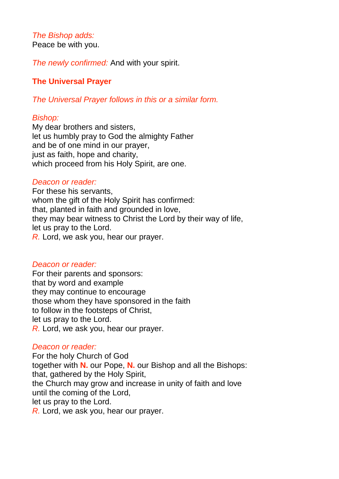# *The Bishop adds:*

Peace be with you.

*The newly confirmed:* And with your spirit.

#### **The Universal Prayer**

*The Universal Prayer follows in this or a similar form.*

#### *Bishop:*

My dear brothers and sisters, let us humbly pray to God the almighty Father and be of one mind in our prayer, just as faith, hope and charity, which proceed from his Holy Spirit, are one.

#### *Deacon or reader:*

For these his servants, whom the gift of the Holy Spirit has confirmed: that, planted in faith and grounded in love, they may bear witness to Christ the Lord by their way of life, let us pray to the Lord. *R.* Lord, we ask you, hear our prayer.

#### *Deacon or reader:*

For their parents and sponsors: that by word and example they may continue to encourage those whom they have sponsored in the faith to follow in the footsteps of Christ, let us pray to the Lord. *R.* Lord, we ask you, hear our prayer.

#### *Deacon or reader:*

For the holy Church of God together with **N.** our Pope, **N.** our Bishop and all the Bishops: that, gathered by the Holy Spirit, the Church may grow and increase in unity of faith and love until the coming of the Lord, let us pray to the Lord. *R.* Lord, we ask you, hear our prayer.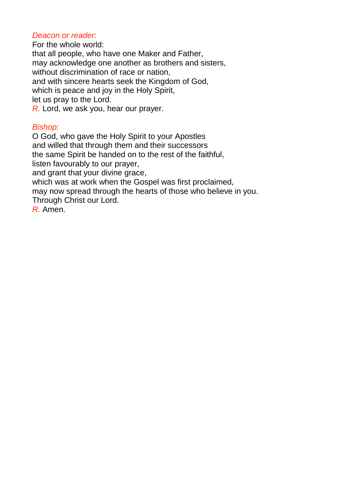#### *Deacon or reader:*

For the whole world: that all people, who have one Maker and Father, may acknowledge one another as brothers and sisters, without discrimination of race or nation, and with sincere hearts seek the Kingdom of God, which is peace and joy in the Holy Spirit, let us pray to the Lord. *R.* Lord, we ask you, hear our prayer.

#### *Bishop:*

O God, who gave the Holy Spirit to your Apostles and willed that through them and their successors the same Spirit be handed on to the rest of the faithful, listen favourably to our prayer, and grant that your divine grace, which was at work when the Gospel was first proclaimed,

may now spread through the hearts of those who believe in you. Through Christ our Lord.

*R.* Amen.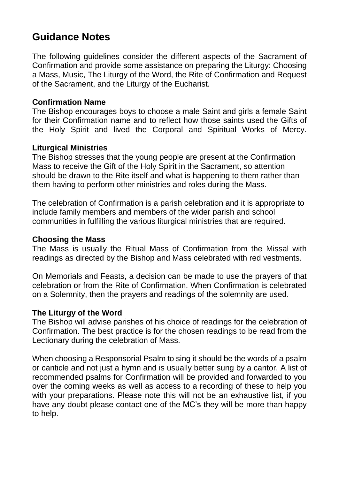## **Guidance Notes**

The following guidelines consider the different aspects of the Sacrament of Confirmation and provide some assistance on preparing the Liturgy: Choosing a Mass, Music, The Liturgy of the Word, the Rite of Confirmation and Request of the Sacrament, and the Liturgy of the Eucharist.

#### **Confirmation Name**

The Bishop encourages boys to choose a male Saint and girls a female Saint for their Confirmation name and to reflect how those saints used the Gifts of the Holy Spirit and lived the Corporal and Spiritual Works of Mercy.

#### **Liturgical Ministries**

The Bishop stresses that the young people are present at the Confirmation Mass to receive the Gift of the Holy Spirit in the Sacrament, so attention should be drawn to the Rite itself and what is happening to them rather than them having to perform other ministries and roles during the Mass.

The celebration of Confirmation is a parish celebration and it is appropriate to include family members and members of the wider parish and school communities in fulfilling the various liturgical ministries that are required.

#### **Choosing the Mass**

The Mass is usually the Ritual Mass of Confirmation from the Missal with readings as directed by the Bishop and Mass celebrated with red vestments.

On Memorials and Feasts, a decision can be made to use the prayers of that celebration or from the Rite of Confirmation. When Confirmation is celebrated on a Solemnity, then the prayers and readings of the solemnity are used.

#### **The Liturgy of the Word**

The Bishop will advise parishes of his choice of readings for the celebration of Confirmation. The best practice is for the chosen readings to be read from the Lectionary during the celebration of Mass.

When choosing a Responsorial Psalm to sing it should be the words of a psalm or canticle and not just a hymn and is usually better sung by a cantor. A list of recommended psalms for Confirmation will be provided and forwarded to you over the coming weeks as well as access to a recording of these to help you with your preparations. Please note this will not be an exhaustive list, if you have any doubt please contact one of the MC's they will be more than happy to help.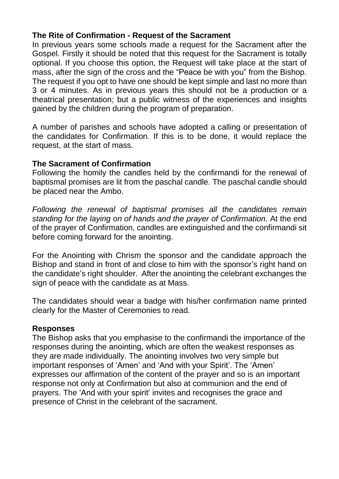#### **The Rite of Confirmation - Request of the Sacrament**

In previous years some schools made a request for the Sacrament after the Gospel. Firstly it should be noted that this request for the Sacrament is totally optional. If you choose this option, the Request will take place at the start of mass, after the sign of the cross and the "Peace be with you" from the Bishop. The request if you opt to have one should be kept simple and last no more than 3 or 4 minutes. As in previous years this should not be a production or a theatrical presentation; but a public witness of the experiences and insights gained by the children during the program of preparation.

A number of parishes and schools have adopted a calling or presentation of the candidates for Confirmation. If this is to be done, it would replace the request, at the start of mass.

#### **The Sacrament of Confirmation**

Following the homily the candles held by the confirmandi for the renewal of baptismal promises are lit from the paschal candle. The paschal candle should be placed near the Ambo.

*Following the renewal of baptismal promises all the candidates remain standing for the laying on of hands and the prayer of Confirmation.* At the end of the prayer of Confirmation, candles are extinguished and the confirmandi sit before coming forward for the anointing.

For the Anointing with Chrism the sponsor and the candidate approach the Bishop and stand in front of and close to him with the sponsor's right hand on the candidate's right shoulder. After the anointing the celebrant exchanges the sign of peace with the candidate as at Mass.

The candidates should wear a badge with his/her confirmation name printed clearly for the Master of Ceremonies to read.

#### **Responses**

The Bishop asks that you emphasise to the confirmandi the importance of the responses during the anointing, which are often the weakest responses as they are made individually. The anointing involves two very simple but important responses of 'Amen' and 'And with your Spirit'. The 'Amen' expresses our affirmation of the content of the prayer and so is an important response not only at Confirmation but also at communion and the end of prayers. The 'And with your spirit' invites and recognises the grace and presence of Christ in the celebrant of the sacrament.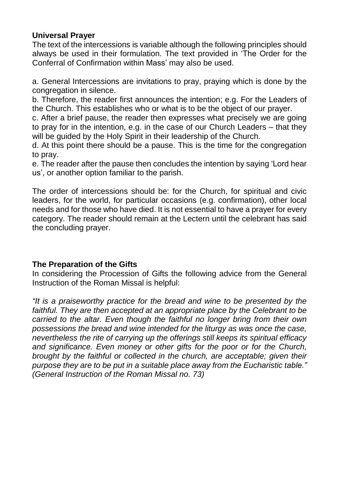#### **Universal Prayer**

The text of the intercessions is variable although the following principles should always be used in their formulation. The text provided in 'The Order for the Conferral of Confirmation within Mass' may also be used.

a. General Intercessions are invitations to pray, praying which is done by the congregation in silence.

b. Therefore, the reader first announces the intention; e.g. For the Leaders of the Church. This establishes who or what is to be the object of our prayer.

c. After a brief pause, the reader then expresses what precisely we are going to pray for in the intention, e.g. in the case of our Church Leaders – that they will be quided by the Holy Spirit in their leadership of the Church.

d. At this point there should be a pause. This is the time for the congregation to pray.

e. The reader after the pause then concludes the intention by saying 'Lord hear us', or another option familiar to the parish.

The order of intercessions should be: for the Church, for spiritual and civic leaders, for the world, for particular occasions (e.g. confirmation), other local needs and for those who have died. It is not essential to have a prayer for every category. The reader should remain at the Lectern until the celebrant has said the concluding prayer.

#### **The Preparation of the Gifts**

In considering the Procession of Gifts the following advice from the General Instruction of the Roman Missal is helpful:

*"It is a praiseworthy practice for the bread and wine to be presented by the faithful. They are then accepted at an appropriate place by the Celebrant to be carried to the altar. Even though the faithful no longer bring from their own possessions the bread and wine intended for the liturgy as was once the case, nevertheless the rite of carrying up the offerings still keeps its spiritual efficacy and significance. Even money or other gifts for the poor or for the Church, brought by the faithful or collected in the church, are acceptable; given their purpose they are to be put in a suitable place away from the Eucharistic table." (General Instruction of the Roman Missal no. 73)*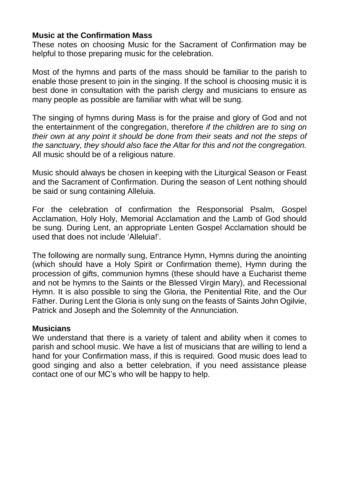#### **Music at the Confirmation Mass**

These notes on choosing Music for the Sacrament of Confirmation may be helpful to those preparing music for the celebration.

Most of the hymns and parts of the mass should be familiar to the parish to enable those present to join in the singing. If the school is choosing music it is best done in consultation with the parish clergy and musicians to ensure as many people as possible are familiar with what will be sung.

The singing of hymns during Mass is for the praise and glory of God and not the entertainment of the congregation, therefore *if the children are to sing on their own at any point it should be done from their seats and not the steps of the sanctuary, they should also face the Altar for this and not the congregation.* All music should be of a religious nature.

Music should always be chosen in keeping with the Liturgical Season or Feast and the Sacrament of Confirmation. During the season of Lent nothing should be said or sung containing Alleluia.

For the celebration of confirmation the Responsorial Psalm, Gospel Acclamation, Holy Holy, Memorial Acclamation and the Lamb of God should be sung. During Lent, an appropriate Lenten Gospel Acclamation should be used that does not include 'Alleluia!'.

The following are normally sung, Entrance Hymn, Hymns during the anointing (which should have a Holy Spirit or Confirmation theme), Hymn during the procession of gifts, communion hymns (these should have a Eucharist theme and not be hymns to the Saints or the Blessed Virgin Mary), and Recessional Hymn. It is also possible to sing the Gloria, the Penitential Rite, and the Our Father. During Lent the Gloria is only sung on the feasts of Saints John Ogilvie, Patrick and Joseph and the Solemnity of the Annunciation.

#### **Musicians**

We understand that there is a variety of talent and ability when it comes to parish and school music. We have a list of musicians that are willing to lend a hand for your Confirmation mass, if this is required. Good music does lead to good singing and also a better celebration, if you need assistance please contact one of our MC's who will be happy to help.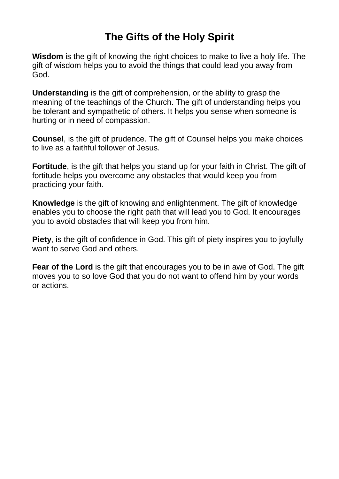## **The Gifts of the Holy Spirit**

**Wisdom** is the gift of knowing the right choices to make to live a holy life. The gift of wisdom helps you to avoid the things that could lead you away from God.

**Understanding** is the gift of comprehension, or the ability to grasp the meaning of the teachings of the Church. The gift of understanding helps you be tolerant and sympathetic of others. It helps you sense when someone is hurting or in need of compassion.

**Counsel**, is the gift of prudence. The gift of Counsel helps you make choices to live as a faithful follower of Jesus.

**Fortitude**, is the gift that helps you stand up for your faith in Christ. The gift of fortitude helps you overcome any obstacles that would keep you from practicing your faith.

**Knowledge** is the gift of knowing and enlightenment. The gift of knowledge enables you to choose the right path that will lead you to God. It encourages you to avoid obstacles that will keep you from him.

**Piety**, is the gift of confidence in God. This gift of piety inspires you to joyfully want to serve God and others.

**Fear of the Lord** is the gift that encourages you to be in awe of God. The gift moves you to so love God that you do not want to offend him by your words or actions.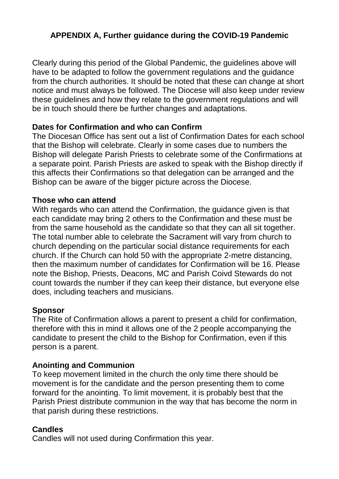#### **APPENDIX A, Further guidance during the COVID-19 Pandemic**

Clearly during this period of the Global Pandemic, the guidelines above will have to be adapted to follow the government regulations and the guidance from the church authorities. It should be noted that these can change at short notice and must always be followed. The Diocese will also keep under review these guidelines and how they relate to the government regulations and will be in touch should there be further changes and adaptations.

#### **Dates for Confirmation and who can Confirm**

The Diocesan Office has sent out a list of Confirmation Dates for each school that the Bishop will celebrate. Clearly in some cases due to numbers the Bishop will delegate Parish Priests to celebrate some of the Confirmations at a separate point. Parish Priests are asked to speak with the Bishop directly if this affects their Confirmations so that delegation can be arranged and the Bishop can be aware of the bigger picture across the Diocese.

#### **Those who can attend**

With regards who can attend the Confirmation, the guidance given is that each candidate may bring 2 others to the Confirmation and these must be from the same household as the candidate so that they can all sit together. The total number able to celebrate the Sacrament will vary from church to church depending on the particular social distance requirements for each church. If the Church can hold 50 with the appropriate 2-metre distancing, then the maximum number of candidates for Confirmation will be 16. Please note the Bishop, Priests, Deacons, MC and Parish Coivd Stewards do not count towards the number if they can keep their distance, but everyone else does, including teachers and musicians.

#### **Sponsor**

The Rite of Confirmation allows a parent to present a child for confirmation, therefore with this in mind it allows one of the 2 people accompanying the candidate to present the child to the Bishop for Confirmation, even if this person is a parent.

#### **Anointing and Communion**

To keep movement limited in the church the only time there should be movement is for the candidate and the person presenting them to come forward for the anointing. To limit movement, it is probably best that the Parish Priest distribute communion in the way that has become the norm in that parish during these restrictions.

#### **Candles**

Candles will not used during Confirmation this year.